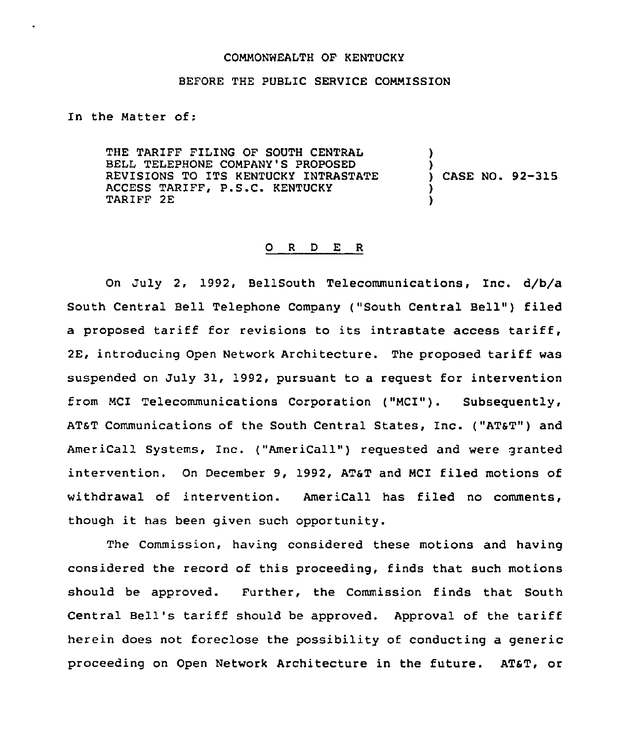## COMMONWEALTH OF KENTUCKY

## BEFORE THE PUBLIC SERVICE COMMISSION

In the Matter of:

THE TARIFF FILING OF SOUTH CENTRAL BELL TELEPHONE COMPANY'S PROPOSED REVISIONS TO ITS KENTUCKY INTRASTATE ACCESS TARIFF, P.S.C. KENTUCKY TARIFF 2E ) ) ) CASE NO. 92-315 ) )

## 0 <sup>R</sup> <sup>D</sup> E <sup>R</sup>

On July 2, 1992, BellSouth Telecommunications, Inc. d/b/a South Central Bell Telephone Company ("South Central Bell") filed a proposed tariff for revisions to its intrastate access tariff, 2E, introducing Open Network Architecture. The proposed tariff was suspended on July 31, 1992, pursuant to a request for intervention from MCI Telecommunications Corporation ("MCI"). Subsequently, AT&T Communications of the South Central States, Inc. ("AT&T") and AmeriCall Systems, Inc. ("AmeriCall") requested and were granted intervention. On December 9, 1992, ATST and MCI filed motions of withdrawal of intervention. AmeriCall has filed no comments, though it has been given such opportunity.

The Commission, having considered these motions and having considered the record of this proceeding, finds that such motions should be approved. Further, the Commission finds that South Central Bell's tariff should be approved. Approval of the tariff herein does not foreclose the possibility of conducting a generic proceeding on Open Network Architecture in the future. ATST, or